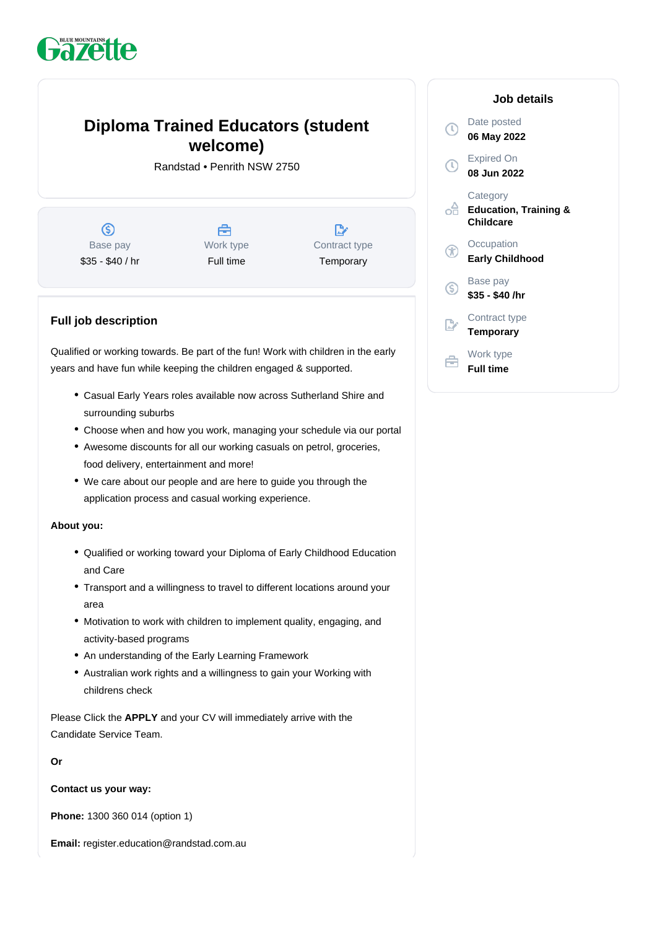# **Pazette**

# **Diploma Trained Educators (student welcome)**

Randstad • Penrith NSW 2750

 $\circledS$ Base pay \$35 - \$40 / hr

合 Work type Full time

 $\mathbb{D}$ Contract type **Temporary** 

## **Full job description**

Qualified or working towards. Be part of the fun! Work with children in the early years and have fun while keeping the children engaged & supported.

- Casual Early Years roles available now across Sutherland Shire and surrounding suburbs
- Choose when and how you work, managing your schedule via our portal
- Awesome discounts for all our working casuals on petrol, groceries, food delivery, entertainment and more!
- We care about our people and are here to guide you through the application process and casual working experience.

#### **About you:**

- Qualified or working toward your Diploma of Early Childhood Education and Care
- Transport and a willingness to travel to different locations around your area
- Motivation to work with children to implement quality, engaging, and activity-based programs
- An understanding of the Early Learning Framework
- Australian work rights and a willingness to gain your Working with childrens check

Please Click the **APPLY** and your CV will immediately arrive with the Candidate Service Team.

#### **Or**

**Contact us your way:**

**Phone:** 1300 360 014 (option 1)

**Email:** register.education@randstad.com.au

### **Job details** Date posted  $\mathbb{C}$ **06 May 2022** Expired On **08 Jun 2022 Category** oâ **Education, Training & Childcare Occupation** G **Early Childhood** Base pay <sub>(S)</sub> **\$35 - \$40 /hr** Contract type **Temporary** Work type **Full time**